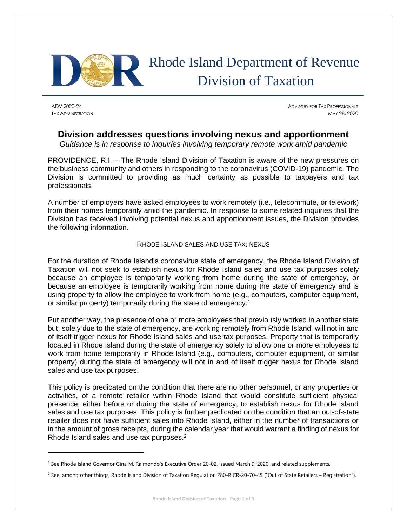

# Rhode Island Department of Revenue Division of Taxation

ADV 2020-24 ADVISORY FOR TAX PROFESSIONALS TAX ADMINISTRATION MAY 28, 2020

## **Division addresses questions involving nexus and apportionment**

*Guidance is in response to inquiries involving temporary remote work amid pandemic*

PROVIDENCE, R.I. – The Rhode Island Division of Taxation is aware of the new pressures on the business community and others in responding to the coronavirus (COVID-19) pandemic. The Division is committed to providing as much certainty as possible to taxpayers and tax professionals.

A number of employers have asked employees to work remotely (i.e., telecommute, or telework) from their homes temporarily amid the pandemic. In response to some related inquiries that the Division has received involving potential nexus and apportionment issues, the Division provides the following information.

### RHODE ISLAND SALES AND USE TAX: NEXUS

For the duration of Rhode Island's coronavirus state of emergency, the Rhode Island Division of Taxation will not seek to establish nexus for Rhode Island sales and use tax purposes solely because an employee is temporarily working from home during the state of emergency, or because an employee is temporarily working from home during the state of emergency and is using property to allow the employee to work from home (e.g., computers, computer equipment, or similar property) temporarily during the state of emergency.<sup>1</sup>

Put another way, the presence of one or more employees that previously worked in another state but, solely due to the state of emergency, are working remotely from Rhode Island, will not in and of itself trigger nexus for Rhode Island sales and use tax purposes. Property that is temporarily located in Rhode Island during the state of emergency solely to allow one or more employees to work from home temporarily in Rhode Island (e.g., computers, computer equipment, or similar property) during the state of emergency will not in and of itself trigger nexus for Rhode Island sales and use tax purposes.

This policy is predicated on the condition that there are no other personnel, or any properties or activities, of a remote retailer within Rhode Island that would constitute sufficient physical presence, either before or during the state of emergency, to establish nexus for Rhode Island sales and use tax purposes. This policy is further predicated on the condition that an out-of-state retailer does not have sufficient sales into Rhode Island, either in the number of transactions or in the amount of gross receipts, during the calendar year that would warrant a finding of nexus for Rhode Island sales and use tax purposes.<sup>2</sup>

<sup>&</sup>lt;sup>1</sup> See Rhode Island Governor Gina M. Raimondo's Executive Order 20-02, issued March 9, 2020, and related supplements.

<sup>&</sup>lt;sup>2</sup> See, among other things, Rhode Island Division of Taxation Regulation 280-RICR-20-70-45 ("Out of State Retailers – Registration").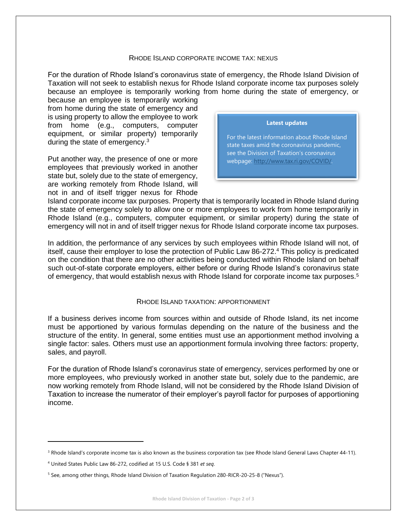#### RHODE ISLAND CORPORATE INCOME TAX: NEXUS

For the duration of Rhode Island's coronavirus state of emergency, the Rhode Island Division of Taxation will not seek to establish nexus for Rhode Island corporate income tax purposes solely because an employee is temporarily working from home during the state of emergency, or

because an employee is temporarily working from home during the state of emergency and is using property to allow the employee to work from home (e.g., computers, computer equipment, or similar property) temporarily during the state of emergency.<sup>3</sup>

Put another way, the presence of one or more employees that previously worked in another state but, solely due to the state of emergency, are working remotely from Rhode Island, will not in and of itself trigger nexus for Rhode

#### **Latest updates**

For the latest information about Rhode Island state taxes amid the coronavirus pandemic, see the Division of Taxation's coronavirus webpage: [http://www.tax.ri.gov/COVID/.](http://www.tax.ri.gov/COVID/)

Island corporate income tax purposes. Property that is temporarily located in Rhode Island during the state of emergency solely to allow one or more employees to work from home temporarily in Rhode Island (e.g., computers, computer equipment, or similar property) during the state of emergency will not in and of itself trigger nexus for Rhode Island corporate income tax purposes.

In addition, the performance of any services by such employees within Rhode Island will not, of itself, cause their employer to lose the protection of Public Law 86-272.<sup>4</sup> This policy is predicated on the condition that there are no other activities being conducted within Rhode Island on behalf such out-of-state corporate employers, either before or during Rhode Island's coronavirus state of emergency, that would establish nexus with Rhode Island for corporate income tax purposes.<sup>5</sup>

#### RHODE ISLAND TAXATION: APPORTIONMENT

If a business derives income from sources within and outside of Rhode Island, its net income must be apportioned by various formulas depending on the nature of the business and the structure of the entity. In general, some entities must use an apportionment method involving a single factor: sales. Others must use an apportionment formula involving three factors: property, sales, and payroll.

For the duration of Rhode Island's coronavirus state of emergency, services performed by one or more employees, who previously worked in another state but, solely due to the pandemic, are now working remotely from Rhode Island, will not be considered by the Rhode Island Division of Taxation to increase the numerator of their employer's payroll factor for purposes of apportioning income.

<sup>&</sup>lt;sup>3</sup> Rhode Island's corporate income tax is also known as the business corporation tax (see Rhode Island General Laws Chapter 44-11).

<sup>4</sup> United States Public Law 86-272, codified at 15 U.S. Code § 381 *et seq*.

<sup>5</sup> See, among other things, Rhode Island Division of Taxation Regulation 280-RICR-20-25-8 ("Nexus").